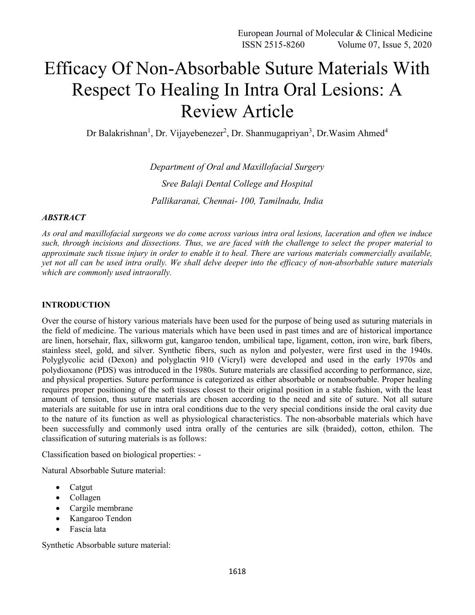# Efficacy Of Non-Absorbable Suture Materials With Respect To Healing In Intra Oral Lesions: A Review Article

Dr Balakrishnan<sup>1</sup>, Dr. Vijayebenezer<sup>2</sup>, Dr. Shanmugapriyan<sup>3</sup>, Dr. Wasim Ahmed<sup>4</sup>

*Department of Oral and Maxillofacial Surgery Sree Balaji Dental College and Hospital Pallikaranai, Chennai- 100, Tamilnadu, India*

#### *ABSTRACT*

*As oral and maxillofacial surgeons we do come across various intra oral lesions, laceration and often we induce such, through incisions and dissections. Thus, we are faced with the challenge to select the proper material to approximate such tissue injury in order to enable it to heal. There are various materials commercially available, yet not all can be used intra orally. We shall delve deeper into the efficacy of non-absorbable suture materials which are commonly used intraorally.*

#### **INTRODUCTION**

Over the course of history various materials have been used for the purpose of being used as suturing materials in the field of medicine. The various materials which have been used in past times and are of historical importance are linen, horsehair, flax, silkworm gut, kangaroo tendon, umbilical tape, ligament, cotton, iron wire, bark fibers, stainless steel, gold, and silver. Synthetic fibers, such as nylon and polyester, were first used in the 1940s. Polyglycolic acid (Dexon) and polyglactin 910 (Vicryl) were developed and used in the early 1970s and polydioxanone (PDS) was introduced in the 1980s. Suture materials are classified according to performance, size, and physical properties. Suture performance is categorized as either absorbable or nonabsorbable. Proper healing requires proper positioning of the soft tissues closest to their original position in a stable fashion, with the least amount of tension, thus suture materials are chosen according to the need and site of suture. Not all suture materials are suitable for use in intra oral conditions due to the very special conditions inside the oral cavity due to the nature of its function as well as physiological characteristics. The non-absorbable materials which have been successfully and commonly used intra orally of the centuries are silk (braided), cotton, ethilon. The classification of suturing materials is as follows:

Classification based on biological properties: -

Natural Absorbable Suture material:

- Catgut
- Collagen
- Cargile membrane
- Kangaroo Tendon
- Fascia lata

Synthetic Absorbable suture material: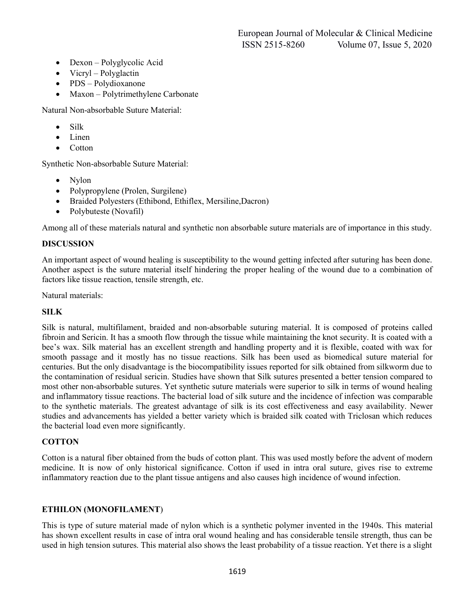- Dexon Polyglycolic Acid
- Vicryl Polyglactin
- PDS Polydioxanone
- Maxon Polytrimethylene Carbonate

Natural Non-absorbable Suture Material:

- Silk
- $\bullet$  Linen
- Cotton

Synthetic Non-absorbable Suture Material:

- Nylon
- Polypropylene (Prolen, Surgilene)
- Braided Polyesters (Ethibond, Ethiflex, Mersiline,Dacron)
- Polybuteste (Novafil)

Among all of these materials natural and synthetic non absorbable suture materials are of importance in this study.

## **DISCUSSION**

An important aspect of wound healing is susceptibility to the wound getting infected after suturing has been done. Another aspect is the suture material itself hindering the proper healing of the wound due to a combination of factors like tissue reaction, tensile strength, etc.

Natural materials:

## **SILK**

Silk is natural, multifilament, braided and non-absorbable suturing material. It is composed of proteins called fibroin and Sericin. It has a smooth flow through the tissue while maintaining the knot security. It is coated with a bee's wax. Silk material has an excellent strength and handling property and it is flexible, coated with wax for smooth passage and it mostly has no tissue reactions. Silk has been used as biomedical suture material for centuries. But the only disadvantage is the biocompatibility issues reported for silk obtained from silkworm due to the contamination of residual sericin. Studies have shown that Silk sutures presented a better tension compared to most other non-absorbable sutures. Yet synthetic suture materials were superior to silk in terms of wound healing and inflammatory tissue reactions. The bacterial load of silk suture and the incidence of infection was comparable to the synthetic materials. The greatest advantage of silk is its cost effectiveness and easy availability. Newer studies and advancements has yielded a better variety which is braided silk coated with Triclosan which reduces the bacterial load even more significantly.

## **COTTON**

Cotton is a natural fiber obtained from the buds of cotton plant. This was used mostly before the advent of modern medicine. It is now of only historical significance. Cotton if used in intra oral suture, gives rise to extreme inflammatory reaction due to the plant tissue antigens and also causes high incidence of wound infection.

## **ETHILON (MONOFILAMENT**)

This is type of suture material made of nylon which is a synthetic polymer invented in the 1940s. This material has shown excellent results in case of intra oral wound healing and has considerable tensile strength, thus can be used in high tension sutures. This material also shows the least probability of a tissue reaction. Yet there is a slight